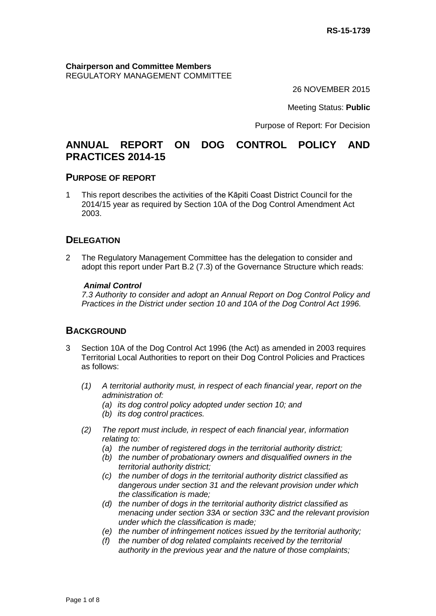**Chairperson and Committee Members** REGULATORY MANAGEMENT COMMITTEE

26 NOVEMBER 2015

Meeting Status: **Public**

Purpose of Report: For Decision

# **ANNUAL REPORT ON DOG CONTROL POLICY AND PRACTICES 2014-15**

#### **PURPOSE OF REPORT**

1 This report describes the activities of the Kāpiti Coast District Council for the 2014/15 year as required by Section 10A of the Dog Control Amendment Act 2003.

### **DELEGATION**

2 The Regulatory Management Committee has the delegation to consider and adopt this report under Part B.2 (7.3) of the Governance Structure which reads:

#### *Animal Control*

*7.3 Authority to consider and adopt an Annual Report on Dog Control Policy and Practices in the District under section 10 and 10A of the Dog Control Act 1996.*

### **BACKGROUND**

- 3 Section 10A of the Dog Control Act 1996 (the Act) as amended in 2003 requires Territorial Local Authorities to report on their Dog Control Policies and Practices as follows:
	- *(1) A territorial authority must, in respect of each financial year, report on the administration of:*
		- *(a) its dog control policy adopted under section 10; and*
		- *(b) its dog control practices.*
	- *(2) The report must include, in respect of each financial year, information relating to:* 
		- *(a) the number of registered dogs in the territorial authority district;*
		- *(b) the number of probationary owners and disqualified owners in the territorial authority district;*
		- *(c) the number of dogs in the territorial authority district classified as dangerous under section 31 and the relevant provision under which the classification is made;*
		- *(d) the number of dogs in the territorial authority district classified as menacing under section 33A or section 33C and the relevant provision under which the classification is made;*
		- *(e) the number of infringement notices issued by the territorial authority;*
		- *(f) the number of dog related complaints received by the territorial authority in the previous year and the nature of those complaints;*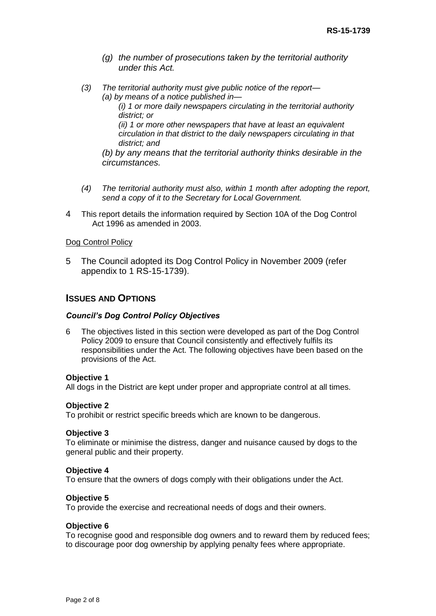- *(g) the number of prosecutions taken by the territorial authority under this Act.*
- *(3) The territorial authority must give public notice of the report— (a) by means of a notice published in—*

*(i) 1 or more daily newspapers circulating in the territorial authority district; or* 

*(ii) 1 or more other newspapers that have at least an equivalent circulation in that district to the daily newspapers circulating in that district; and*

*(b) by any means that the territorial authority thinks desirable in the circumstances.*

- *(4) The territorial authority must also, within 1 month after adopting the report, send a copy of it to the Secretary for Local Government.*
- 4 This report details the information required by Section 10A of the Dog Control Act 1996 as amended in 2003.

#### Dog Control Policy

5 The Council adopted its Dog Control Policy in November 2009 (refer appendix to 1 RS-15-1739).

#### **ISSUES AND OPTIONS**

#### *Council's Dog Control Policy Objectives*

6 The objectives listed in this section were developed as part of the Dog Control Policy 2009 to ensure that Council consistently and effectively fulfils its responsibilities under the Act. The following objectives have been based on the provisions of the Act.

#### **Objective 1**

All dogs in the District are kept under proper and appropriate control at all times.

#### **Objective 2**

To prohibit or restrict specific breeds which are known to be dangerous.

#### **Objective 3**

To eliminate or minimise the distress, danger and nuisance caused by dogs to the general public and their property.

#### **Objective 4**

To ensure that the owners of dogs comply with their obligations under the Act.

#### **Objective 5**

To provide the exercise and recreational needs of dogs and their owners.

#### **Objective 6**

To recognise good and responsible dog owners and to reward them by reduced fees; to discourage poor dog ownership by applying penalty fees where appropriate.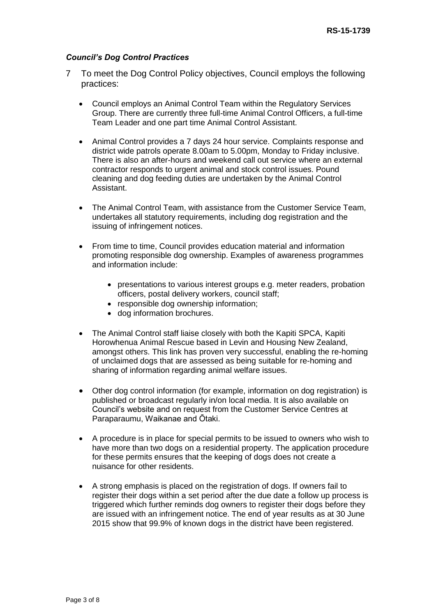#### *Council's Dog Control Practices*

- 7 To meet the Dog Control Policy objectives, Council employs the following practices:
	- Council employs an Animal Control Team within the Regulatory Services Group. There are currently three full-time Animal Control Officers, a full-time Team Leader and one part time Animal Control Assistant.
	- Animal Control provides a 7 days 24 hour service. Complaints response and district wide patrols operate 8.00am to 5.00pm, Monday to Friday inclusive. There is also an after-hours and weekend call out service where an external contractor responds to urgent animal and stock control issues. Pound cleaning and dog feeding duties are undertaken by the Animal Control Assistant.
	- The Animal Control Team, with assistance from the Customer Service Team, undertakes all statutory requirements, including dog registration and the issuing of infringement notices.
	- From time to time, Council provides education material and information promoting responsible dog ownership. Examples of awareness programmes and information include:
		- presentations to various interest groups e.g. meter readers, probation officers, postal delivery workers, council staff;
		- responsible dog ownership information;
		- dog information brochures.
	- The Animal Control staff liaise closely with both the Kapiti SPCA, Kapiti Horowhenua Animal Rescue based in Levin and Housing New Zealand, amongst others. This link has proven very successful, enabling the re-homing of unclaimed dogs that are assessed as being suitable for re-homing and sharing of information regarding animal welfare issues.
	- Other dog control information (for example, information on dog registration) is published or broadcast regularly in/on local media. It is also available on Council's website and on request from the Customer Service Centres at Paraparaumu, Waikanae and Ōtaki.
	- A procedure is in place for special permits to be issued to owners who wish to have more than two dogs on a residential property. The application procedure for these permits ensures that the keeping of dogs does not create a nuisance for other residents.
	- A strong emphasis is placed on the registration of dogs. If owners fail to register their dogs within a set period after the due date a follow up process is triggered which further reminds dog owners to register their dogs before they are issued with an infringement notice. The end of year results as at 30 June 2015 show that 99.9% of known dogs in the district have been registered.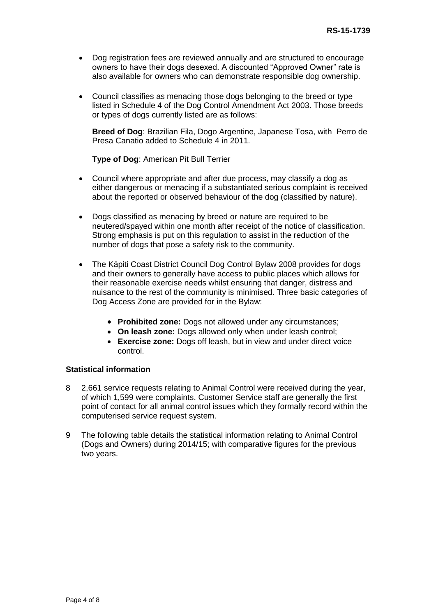- Dog registration fees are reviewed annually and are structured to encourage owners to have their dogs desexed. A discounted "Approved Owner" rate is also available for owners who can demonstrate responsible dog ownership.
- Council classifies as menacing those dogs belonging to the breed or type listed in Schedule 4 of the Dog Control Amendment Act 2003. Those breeds or types of dogs currently listed are as follows:

**Breed of Dog**: Brazilian Fila, Dogo Argentine, Japanese Tosa, with Perro de Presa Canatio added to Schedule 4 in 2011.

**Type of Dog**: American Pit Bull Terrier

- Council where appropriate and after due process, may classify a dog as either dangerous or menacing if a substantiated serious complaint is received about the reported or observed behaviour of the dog (classified by nature).
- Dogs classified as menacing by breed or nature are required to be neutered/spayed within one month after receipt of the notice of classification. Strong emphasis is put on this regulation to assist in the reduction of the number of dogs that pose a safety risk to the community.
- The Kāpiti Coast District Council Dog Control Bylaw 2008 provides for dogs and their owners to generally have access to public places which allows for their reasonable exercise needs whilst ensuring that danger, distress and nuisance to the rest of the community is minimised. Three basic categories of Dog Access Zone are provided for in the Bylaw:
	- **Prohibited zone:** Dogs not allowed under any circumstances;
	- **On leash zone:** Dogs allowed only when under leash control;
	- **Exercise zone:** Dogs off leash, but in view and under direct voice control.

#### **Statistical information**

- 8 2,661 service requests relating to Animal Control were received during the year, of which 1,599 were complaints. Customer Service staff are generally the first point of contact for all animal control issues which they formally record within the computerised service request system.
- 9 The following table details the statistical information relating to Animal Control (Dogs and Owners) during 2014/15; with comparative figures for the previous two years.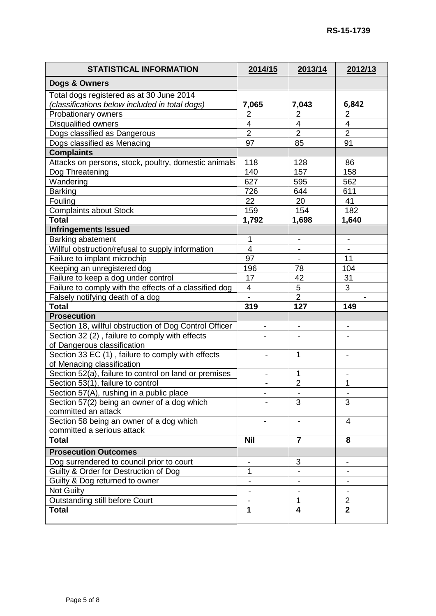| <b>STATISTICAL INFORMATION</b>                         | 2014/15                  | 2013/14                      | 2012/13                      |
|--------------------------------------------------------|--------------------------|------------------------------|------------------------------|
| Dogs & Owners                                          |                          |                              |                              |
| Total dogs registered as at 30 June 2014               |                          |                              |                              |
| (classifications below included in total dogs)         | 7,065                    | 7,043                        | 6,842                        |
| Probationary owners                                    | 2                        | $\overline{2}$               | $\overline{2}$               |
| Disqualified owners                                    | $\overline{4}$           | $\overline{4}$               | $\overline{4}$               |
| Dogs classified as Dangerous                           | $\overline{2}$           | $\overline{2}$               | $\overline{2}$               |
| Dogs classified as Menacing                            | 97                       | 85                           | 91                           |
| <b>Complaints</b>                                      |                          |                              |                              |
| Attacks on persons, stock, poultry, domestic animals   | 118                      | 128                          | 86                           |
| Dog Threatening                                        | 140                      | 157                          | 158                          |
| Wandering                                              | 627                      | 595                          | 562                          |
| <b>Barking</b>                                         | 726                      | 644                          | 611                          |
| Fouling                                                | 22                       | 20                           | 41                           |
| <b>Complaints about Stock</b>                          | 159                      | 154                          | 182                          |
| <b>Total</b>                                           | 1,792                    | 1,698                        | 1,640                        |
| <b>Infringements Issued</b>                            |                          |                              |                              |
| Barking abatement                                      | 1                        | $\overline{\phantom{a}}$     | $\qquad \qquad \blacksquare$ |
| Willful obstruction/refusal to supply information      | 4                        |                              |                              |
| Failure to implant microchip                           | 97                       |                              | 11                           |
|                                                        |                          |                              |                              |
| Keeping an unregistered dog                            | 196                      | 78                           | 104                          |
| Failure to keep a dog under control                    | 17                       | 42                           | 31                           |
| Failure to comply with the effects of a classified dog | 4                        | 5                            | 3                            |
| Falsely notifying death of a dog                       |                          | $\overline{2}$               |                              |
| <b>Total</b>                                           | 319                      | 127                          | 149                          |
| <b>Prosecution</b>                                     |                          |                              |                              |
| Section 18, willful obstruction of Dog Control Officer |                          | $\overline{\phantom{0}}$     |                              |
| Section 32 (2), failure to comply with effects         |                          |                              |                              |
| of Dangerous classification                            |                          |                              |                              |
| Section 33 EC (1), failure to comply with effects      |                          | 1                            |                              |
| of Menacing classification                             |                          |                              |                              |
| Section 52(a), failure to control on land or premises  |                          | 1                            |                              |
| Section 53(1), failure to control                      |                          | $\overline{2}$               | 1                            |
| Section 57(A), rushing in a public place               |                          |                              |                              |
| Section 57(2) being an owner of a dog which            |                          | 3                            | 3                            |
| committed an attack                                    |                          |                              |                              |
| Section 58 being an owner of a dog which               |                          |                              | $\overline{4}$               |
| committed a serious attack                             |                          |                              |                              |
| <b>Total</b>                                           | <b>Nil</b>               | $\overline{7}$               | 8                            |
| <b>Prosecution Outcomes</b>                            |                          |                              |                              |
| Dog surrendered to council prior to court              |                          | 3                            |                              |
| Guilty & Order for Destruction of Dog                  | 1                        |                              |                              |
| Guilty & Dog returned to owner                         | $\overline{\phantom{a}}$ | $\qquad \qquad \blacksquare$ |                              |
| Not Guilty                                             | $\overline{\phantom{a}}$ |                              |                              |
| Outstanding still before Court                         |                          | 1                            | $\overline{2}$               |
| <b>Total</b>                                           | 1                        | $\overline{\mathbf{4}}$      | $\overline{2}$               |
|                                                        |                          |                              |                              |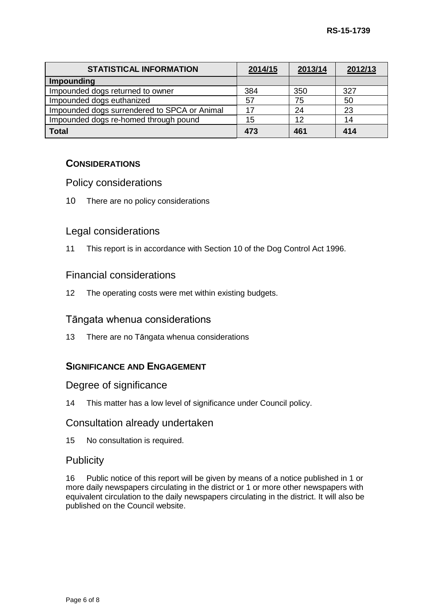| <b>STATISTICAL INFORMATION</b>               | 2014/15 | 2013/14 | 2012/13 |
|----------------------------------------------|---------|---------|---------|
| Impounding                                   |         |         |         |
| Impounded dogs returned to owner             | 384     | 350     | 327     |
| Impounded dogs euthanized                    | 57      | 75      | 50      |
| Impounded dogs surrendered to SPCA or Animal |         | 24      | 23      |
| Impounded dogs re-homed through pound        | 15      | 12      | 14      |
| <b>Total</b>                                 | 473     | 461     | 414     |

### **CONSIDERATIONS**

### Policy considerations

10 There are no policy considerations

### Legal considerations

11 This report is in accordance with Section 10 of the Dog Control Act 1996.

### Financial considerations

12 The operating costs were met within existing budgets.

### Tāngata whenua considerations

13 There are no Tāngata whenua considerations

### **SIGNIFICANCE AND ENGAGEMENT**

### Degree of significance

14 This matter has a low level of significance under Council policy.

### Consultation already undertaken

15 No consultation is required.

### **Publicity**

16 Public notice of this report will be given by means of a notice published in 1 or more daily newspapers circulating in the district or 1 or more other newspapers with equivalent circulation to the daily newspapers circulating in the district. It will also be published on the Council website.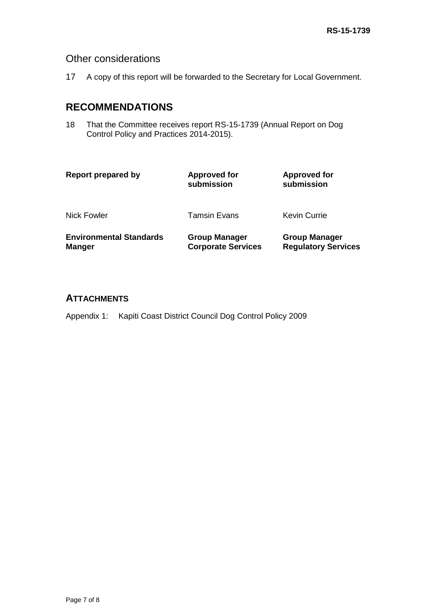## Other considerations

17 A copy of this report will be forwarded to the Secretary for Local Government.

# **RECOMMENDATIONS**

18 That the Committee receives report RS-15-1739 (Annual Report on Dog Control Policy and Practices 2014-2015).

| Report prepared by                              | <b>Approved for</b><br>submission                 | <b>Approved for</b><br>submission                  |
|-------------------------------------------------|---------------------------------------------------|----------------------------------------------------|
| Nick Fowler                                     | <b>Tamsin Evans</b>                               | Kevin Currie                                       |
| <b>Environmental Standards</b><br><b>Manger</b> | <b>Group Manager</b><br><b>Corporate Services</b> | <b>Group Manager</b><br><b>Regulatory Services</b> |

### **ATTACHMENTS**

Appendix 1: Kapiti Coast District Council Dog Control Policy 2009